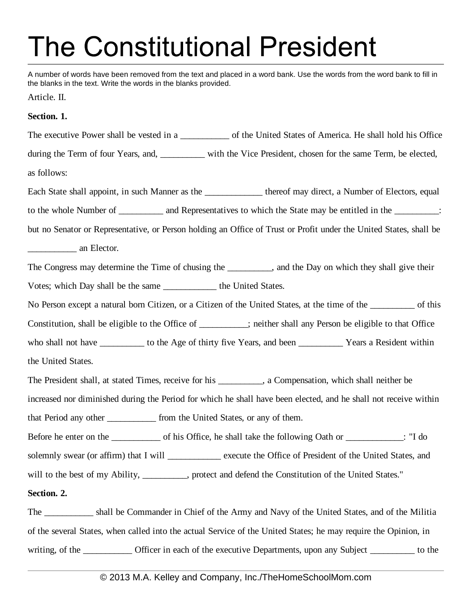## **The Constitutional President**

A number of words have been removed from the text and placed in a word bank. Use the words from the word bank to fill in the blanks in the text. Write the words in the blanks provided.

Article. II.

## **Section. 1.**

The executive Power shall be vested in a \_\_\_\_\_\_\_\_\_\_ of the United States of America. He shall hold his Office during the Term of four Years, and, with the Vice President, chosen for the same Term, be elected, as follows: Each State shall appoint, in such Manner as the thereof may direct, a Number of Electors, equal to the whole Number of \_\_\_\_\_\_\_\_\_\_ and Representatives to which the State may be entitled in the \_\_\_\_\_\_\_\_\_\_: but no Senator or Representative, or Person holding an Office of Trust or Profit under the United States, shall be \_\_\_\_\_\_\_\_\_\_\_ an Elector. The Congress may determine the Time of chusing the subseteedy and the Day on which they shall give their Votes; which Day shall be the same \_\_\_\_\_\_\_\_\_\_\_\_ the United States. No Person except a natural born Citizen, or a Citizen of the United States, at the time of the \_\_\_\_\_\_\_\_\_\_ of this Constitution, shall be eligible to the Office of \_\_\_\_\_\_\_\_\_\_\_; neither shall any Person be eligible to that Office who shall not have \_\_\_\_\_\_\_\_\_\_\_ to the Age of thirty five Years, and been \_\_\_\_\_\_\_\_\_\_\_\_\_\_ Years a Resident within the United States. The President shall, at stated Times, receive for his \_\_\_\_\_\_\_\_\_\_, a Compensation, which shall neither be increased nor diminished during the Period for which he shall have been elected, and he shall not receive within that Period any other <u>section</u> from the United States, or any of them. Before he enter on the \_\_\_\_\_\_\_\_\_\_\_\_ of his Office, he shall take the following Oath or \_\_\_\_\_\_\_\_\_\_\_\_\_: "I do solemnly swear (or affirm) that I will \_\_\_\_\_\_\_\_\_\_\_\_ execute the Office of President of the United States, and will to the best of my Ability, \_\_\_\_\_\_\_\_, protect and defend the Constitution of the United States." **Section. 2.**

The \_\_\_\_\_\_\_\_\_\_\_ shall be Commander in Chief of the Army and Navy of the United States, and of the Militia of the several States, when called into the actual Service of the United States; he may require the Opinion, in writing, of the \_\_\_\_\_\_\_\_\_\_\_\_ Officer in each of the executive Departments, upon any Subject \_\_\_\_\_\_\_\_\_\_\_ to the